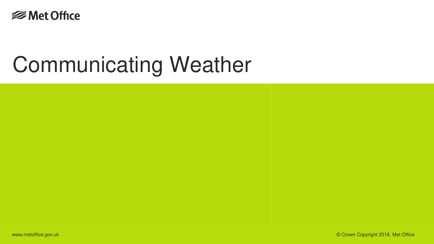*<del></del>* Met Office

### Communicating Weather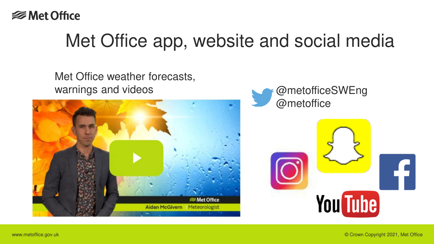### Met Office app, website and social media

Met Office weather forecasts, warnings and videos **and videos** and videos **and videos** and **and videos** and **a** and **a** and **a** and **a** and **a** and **a** and **a** and **a** and **a** and **a** and **a** and **a** and **a** and **a** and **a** and **a** and **a** and **a** and





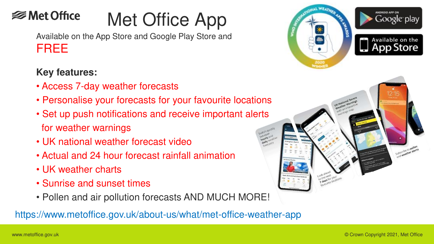### **⊗Met Office**

### Met Office App

Available on the App Store and Google Play Store and FREE

#### **Key features:**

- Access 7-day weather forecasts
- Personalise your forecasts for your favourite locations
- Set up push notifications and receive important alerts for weather warnings
- UK national weather forecast video
- Actual and 24 hour forecast rainfall animation
- UK weather charts
- Sunrise and sunset times
- Pollen and air pollution forecasts AND MUCH MORE!

https://www.metoffice.gov.uk/about-us/what/met-office-weather-app



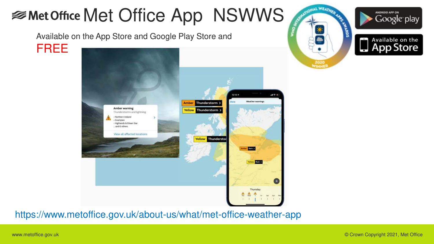### <del></del>Met Office Office App NSWWS

Available on the App Store and Google Play Store and

FREE







www.metoffice.gov.uk © Crown Copyright 2021, Met Office

Store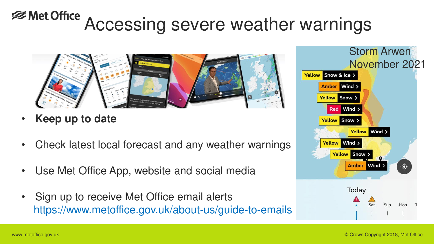#### **⊗Met Office** Accessing severe weather warnings



- **Keep up to date**
- Check latest local forecast and any weather warnings
- Use Met Office App, website and social media
- Sign up to receive Met Office email alerts https://www.metoffice.gov.uk/about-us/guide-to-emails

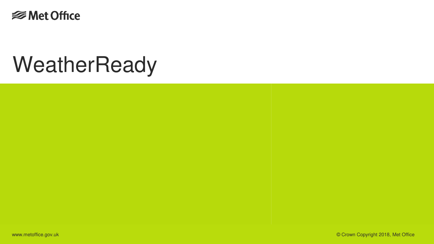<del></del>*<del></del>* Met Office

### **WeatherReady**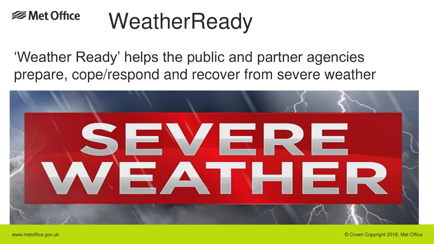#### **⊗Met Office WeatherReady**

'Weather Ready' helps the public and partner agencies prepare, cope/respond and recover from severe weather

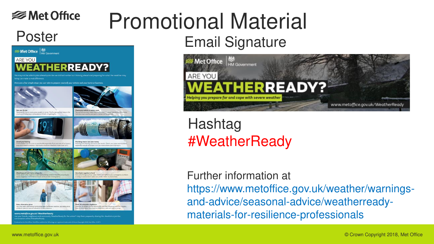### **<del></del>** Met Office Promotional Material Poster Email Signature



Hashtag #WeatherReady

Further information at https://www.metoffice.gov.uk/weather/warningsand-advice/seasonal-advice/weatherreadymaterials-for-resilience-professionals

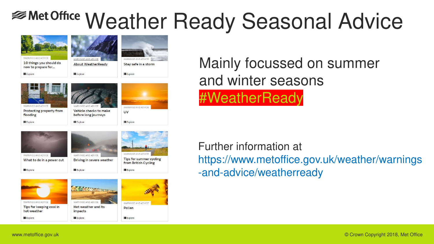## <del>**<sup>■</sup>Met Office</sup>** Weather Ready Seasonal Advice</u></del>



**Explore** 

**IE** Explore

Mainly focussed on summer and winter seasons #WeatherReady

Further information at https://www.metoffice.gov.uk/weather/warnings -and-advice/weatherready

**Explore**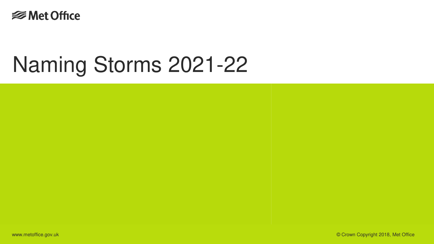<del></del>*<del></del>* Met Office

### Naming Storms 2021-22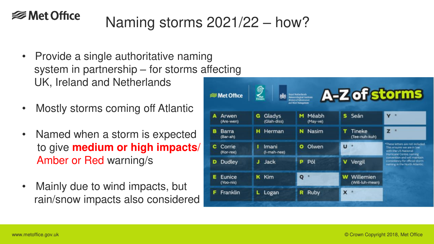#### **<del></del>** Met Office

### Naming storms 2021/22 – how?

- Provide a single authoritative naming system in partnership – for storms affecting UK, Ireland and Netherlands
- Mostly storms coming off Atlantic
- Named when a storm is expected to give **medium or high impacts**/ Amber or Red warning/s
- Mainly due to wind impacts, but rain/snow impacts also considered

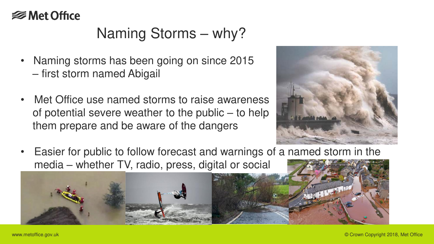#### **⊗Met Office**

### Naming Storms – why?

- Naming storms has been going on since 2015 – first storm named Abigail
- Met Office use named storms to raise awareness of potential severe weather to the public – to help them prepare and be aware of the dangers



**AND RESIDENCE** 

• Easier for public to follow forecast and warnings of a named storm in the media – whether TV, radio, press, digital or social

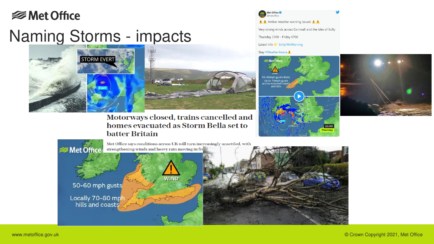#### **<del></del>** Met Office

### Naming Storms - impacts



#### Motorways closed, trains cancelled and homes evacuated as Storm Bella set to **batter Britain**



21:00 hursday

Met Office @metoffice